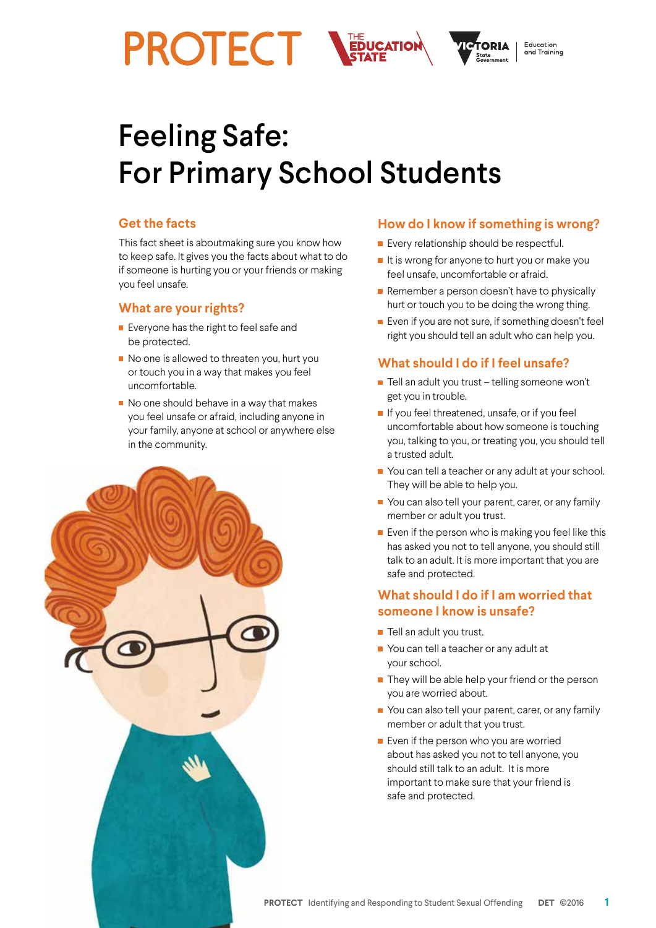

# Feeling Safe: For Primary School Students

### **Get the facts**

This fact sheet is aboutmaking sure you know how to keep safe. It gives you the facts about what to do if someone is hurting you or your friends or making you feel unsafe.

#### **What are your rights?**

- **Exeryone has the right to feel safe and** be protected.
- No one is allowed to threaten you, hurt you or touch you in a way that makes you feel uncomfortable.
- $\blacksquare$  No one should behave in a way that makes you feel unsafe or afraid, including anyone in your family, anyone at school or anywhere else in the community.



#### **How do I know if something is wrong?**

- **Every relationship should be respectful.**
- $\blacksquare$  It is wrong for anyone to hurt you or make you feel unsafe, uncomfortable or afraid.
- $\blacksquare$  Remember a person doesn't have to physically hurt or touch you to be doing the wrong thing.
- Even if you are not sure, if something doesn't feel right you should tell an adult who can help you.

## **What should I do if I feel unsafe?**

- $\blacksquare$  Tell an adult you trust telling someone won't get you in trouble.
- If you feel threatened, unsafe, or if you feel uncomfortable about how someone is touching you, talking to you, or treating you, you should tell a trusted adult.
- You can tell a teacher or any adult at your school. They will be able to help you.
- You can also tell your parent, carer, or any family member or adult you trust.
- Even if the person who is making you feel like this has asked you not to tell anyone, you should still talk to an adult. It is more important that you are safe and protected.

# **What should I do if I am worried that someone I know is unsafe?**

- $\blacksquare$  Tell an adult you trust.
- You can tell a teacher or any adult at your school.
- $\blacksquare$  They will be able help your friend or the person you are worried about.
- You can also tell your parent, carer, or any family member or adult that you trust.
- **Exen if the person who you are worried** about has asked you not to tell anyone, you should still talk to an adult. It is more important to make sure that your friend is safe and protected.